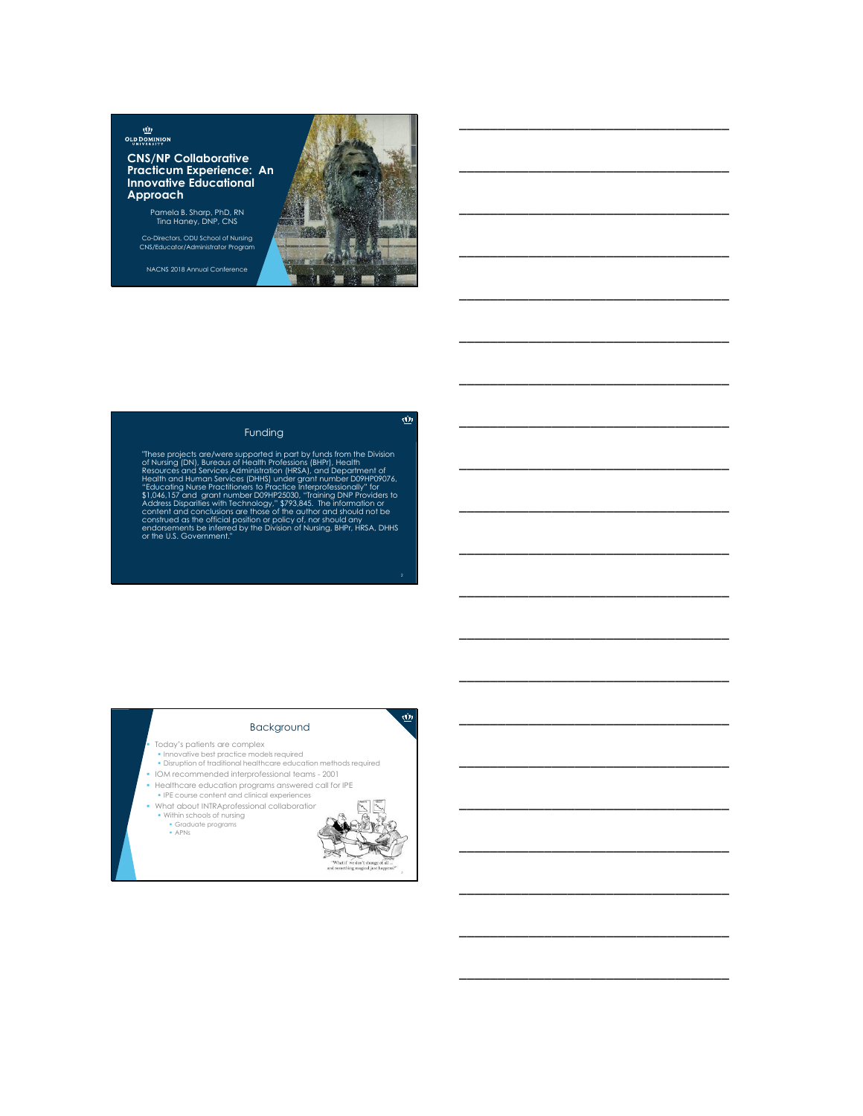$\underline{\dot{\mathbf{w}}}$ **OLD DOMINION** 

**CNS/NP Collaborative Practicum Experience: An Innovative Educational Approach**

Pamela B. Sharp, PhD, RN Tina Haney, DNP, CNS

Co-Directors, ODU School of Nursing CNS/Educator/Administrator Program

NACNS 2018 Annual Conference



"These projects are/were supported in part by funds from the Division<br>of Nursing (DN), Bureaus of Health Professions (BHPr), Health Resources and Services Administration (HRSA), and Department of<br>Hedith and Human Services (DHHS) under grant number D09HP09076,<br>"Educating Nurse Practitioners to Practice Interprofessionally" for<br>S1.046.157 and grant numbe

# Background

- Today's patients are complex
- Innovative best practice models required Disruption of traditional healthcare education methods required
- IOM recommended interprofessional teams 2001
- 
- Healthcare education programs answered call for IPE IPE course content and clinical experiences
- 
- What about INTRAprofessional collaboration? Within schools of nursing
	- Graduate programs APNs





 $\overline{\mathbf{w}}$ 

2

# \_\_\_\_\_\_\_\_\_\_\_\_\_\_\_\_\_\_\_\_\_\_\_\_\_\_\_\_\_\_\_\_\_\_\_

 $\underline{\vec{w}}$ 

\_\_\_\_\_\_\_\_\_\_\_\_\_\_\_\_\_\_\_\_\_\_\_\_\_\_\_\_\_\_\_\_\_\_\_

\_\_\_\_\_\_\_\_\_\_\_\_\_\_\_\_\_\_\_\_\_\_\_\_\_\_\_\_\_\_\_\_\_\_\_

\_\_\_\_\_\_\_\_\_\_\_\_\_\_\_\_\_\_\_\_\_\_\_\_\_\_\_\_\_\_\_\_\_\_\_

\_\_\_\_\_\_\_\_\_\_\_\_\_\_\_\_\_\_\_\_\_\_\_\_\_\_\_\_\_\_\_\_\_\_\_

\_\_\_\_\_\_\_\_\_\_\_\_\_\_\_\_\_\_\_\_\_\_\_\_\_\_\_\_\_\_\_\_\_\_\_

\_\_\_\_\_\_\_\_\_\_\_\_\_\_\_\_\_\_\_\_\_\_\_\_\_\_\_\_\_\_\_\_\_\_\_

\_\_\_\_\_\_\_\_\_\_\_\_\_\_\_\_\_\_\_\_\_\_\_\_\_\_\_\_\_\_\_\_\_\_\_

\_\_\_\_\_\_\_\_\_\_\_\_\_\_\_\_\_\_\_\_\_\_\_\_\_\_\_\_\_\_\_\_\_\_\_

\_\_\_\_\_\_\_\_\_\_\_\_\_\_\_\_\_\_\_\_\_\_\_\_\_\_\_\_\_\_\_\_\_\_\_

\_\_\_\_\_\_\_\_\_\_\_\_\_\_\_\_\_\_\_\_\_\_\_\_\_\_\_\_\_\_\_\_\_\_\_

\_\_\_\_\_\_\_\_\_\_\_\_\_\_\_\_\_\_\_\_\_\_\_\_\_\_\_\_\_\_\_\_\_\_\_

\_\_\_\_\_\_\_\_\_\_\_\_\_\_\_\_\_\_\_\_\_\_\_\_\_\_\_\_\_\_\_\_\_\_\_

\_\_\_\_\_\_\_\_\_\_\_\_\_\_\_\_\_\_\_\_\_\_\_\_\_\_\_\_\_\_\_\_\_\_\_

\_\_\_\_\_\_\_\_\_\_\_\_\_\_\_\_\_\_\_\_\_\_\_\_\_\_\_\_\_\_\_\_\_\_\_

\_\_\_\_\_\_\_\_\_\_\_\_\_\_\_\_\_\_\_\_\_\_\_\_\_\_\_\_\_\_\_\_\_\_\_

\_\_\_\_\_\_\_\_\_\_\_\_\_\_\_\_\_\_\_\_\_\_\_\_\_\_\_\_\_\_\_\_\_\_\_

\_\_\_\_\_\_\_\_\_\_\_\_\_\_\_\_\_\_\_\_\_\_\_\_\_\_\_\_\_\_\_\_\_\_\_

\_\_\_\_\_\_\_\_\_\_\_\_\_\_\_\_\_\_\_\_\_\_\_\_\_\_\_\_\_\_\_\_\_\_\_

\_\_\_\_\_\_\_\_\_\_\_\_\_\_\_\_\_\_\_\_\_\_\_\_\_\_\_\_\_\_\_\_\_\_\_

\_\_\_\_\_\_\_\_\_\_\_\_\_\_\_\_\_\_\_\_\_\_\_\_\_\_\_\_\_\_\_\_\_\_\_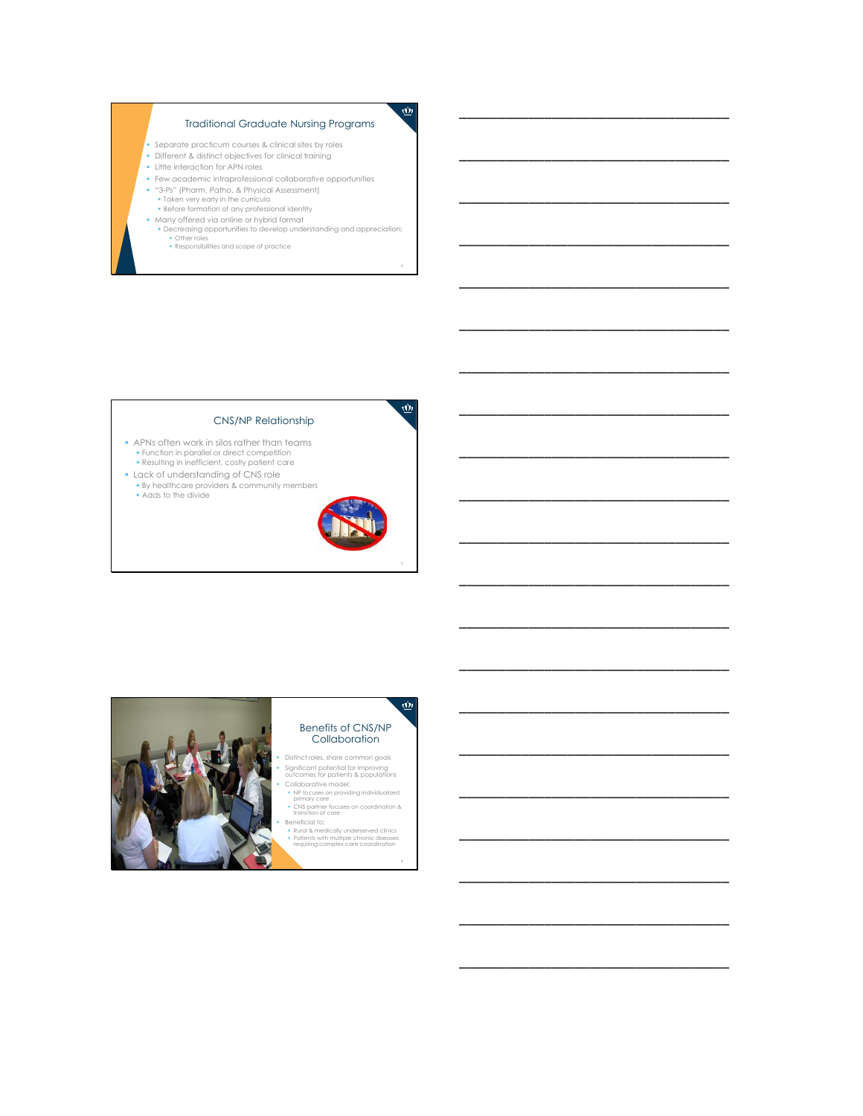# Traditional Graduate Nursing Programs

- Separate practicum courses & clinical sites by roles
- Different & distinct objectives for clinical training Little interaction for APN roles
- 
- Few academic intraprofessional collaborative opportunities
- "3-Ps" (Pharm, Patho, & Physical Assessment) Taken very early in the curricula Before formation of any professional identity
- 
- Many offered via online or hybrid format Decreasing opportunities to develop understanding and appreciation: Other roles Responsibilities and scope of practice
	-

#### CNS/NP Relationship

- APNs often work in silos rather than teams Function in parallel or direct competition Resulting in inefficient, costly patient care
- **Lack of understanding of CNS role**
- By healthcare providers & community members Adds to the divide



4

 $\underline{\vec{w}}$ 

 $\dot{\mathbf{w}}$ 

\_\_\_\_\_\_\_\_\_\_\_\_\_\_\_\_\_\_\_\_\_\_\_\_\_\_\_\_\_\_\_\_\_\_\_

\_\_\_\_\_\_\_\_\_\_\_\_\_\_\_\_\_\_\_\_\_\_\_\_\_\_\_\_\_\_\_\_\_\_\_

\_\_\_\_\_\_\_\_\_\_\_\_\_\_\_\_\_\_\_\_\_\_\_\_\_\_\_\_\_\_\_\_\_\_\_

\_\_\_\_\_\_\_\_\_\_\_\_\_\_\_\_\_\_\_\_\_\_\_\_\_\_\_\_\_\_\_\_\_\_\_

\_\_\_\_\_\_\_\_\_\_\_\_\_\_\_\_\_\_\_\_\_\_\_\_\_\_\_\_\_\_\_\_\_\_\_

\_\_\_\_\_\_\_\_\_\_\_\_\_\_\_\_\_\_\_\_\_\_\_\_\_\_\_\_\_\_\_\_\_\_\_

\_\_\_\_\_\_\_\_\_\_\_\_\_\_\_\_\_\_\_\_\_\_\_\_\_\_\_\_\_\_\_\_\_\_\_

\_\_\_\_\_\_\_\_\_\_\_\_\_\_\_\_\_\_\_\_\_\_\_\_\_\_\_\_\_\_\_\_\_\_\_

\_\_\_\_\_\_\_\_\_\_\_\_\_\_\_\_\_\_\_\_\_\_\_\_\_\_\_\_\_\_\_\_\_\_\_

\_\_\_\_\_\_\_\_\_\_\_\_\_\_\_\_\_\_\_\_\_\_\_\_\_\_\_\_\_\_\_\_\_\_\_

\_\_\_\_\_\_\_\_\_\_\_\_\_\_\_\_\_\_\_\_\_\_\_\_\_\_\_\_\_\_\_\_\_\_\_

\_\_\_\_\_\_\_\_\_\_\_\_\_\_\_\_\_\_\_\_\_\_\_\_\_\_\_\_\_\_\_\_\_\_\_

\_\_\_\_\_\_\_\_\_\_\_\_\_\_\_\_\_\_\_\_\_\_\_\_\_\_\_\_\_\_\_\_\_\_\_

\_\_\_\_\_\_\_\_\_\_\_\_\_\_\_\_\_\_\_\_\_\_\_\_\_\_\_\_\_\_\_\_\_\_\_

\_\_\_\_\_\_\_\_\_\_\_\_\_\_\_\_\_\_\_\_\_\_\_\_\_\_\_\_\_\_\_\_\_\_\_

\_\_\_\_\_\_\_\_\_\_\_\_\_\_\_\_\_\_\_\_\_\_\_\_\_\_\_\_\_\_\_\_\_\_\_

\_\_\_\_\_\_\_\_\_\_\_\_\_\_\_\_\_\_\_\_\_\_\_\_\_\_\_\_\_\_\_\_\_\_\_

\_\_\_\_\_\_\_\_\_\_\_\_\_\_\_\_\_\_\_\_\_\_\_\_\_\_\_\_\_\_\_\_\_\_\_

\_\_\_\_\_\_\_\_\_\_\_\_\_\_\_\_\_\_\_\_\_\_\_\_\_\_\_\_\_\_\_\_\_\_\_

\_\_\_\_\_\_\_\_\_\_\_\_\_\_\_\_\_\_\_\_\_\_\_\_\_\_\_\_\_\_\_\_\_\_\_

\_\_\_\_\_\_\_\_\_\_\_\_\_\_\_\_\_\_\_\_\_\_\_\_\_\_\_\_\_\_\_\_\_\_\_



# Benefits of CNS/NP **Collaboration**

- Distinct roles, share common goals Significant potential for improving outcomes for patients & populations
- 
- Collaborative model: NP focuses on providing individualized primary care CNS partner focuses on coordination & transition of care
- Beneficial to:
- Rural & medically underserved clinics Patients with multiple chronic diseases requiring complex care coordination
- 

6

 $\dot{\underline{\omega}}$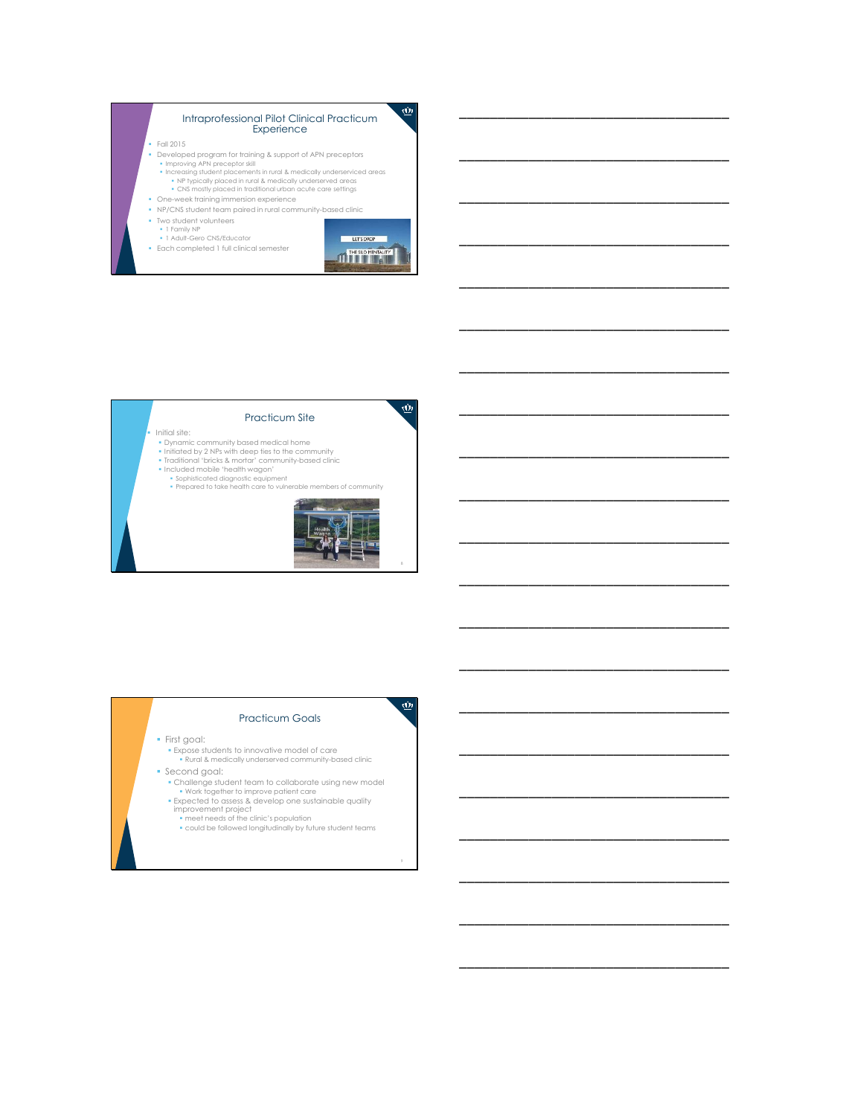#### Intraprofessional Pilot Clinical Practicum Experience

#### Fall 2015

- 
- Developed program for fraining & support of APN preceptors<br>• Improving APN preceptor skill<br>• Increasing student placements in rural & medically underserviced areas<br>• NP typically placed in tural & medically underserved a
- One-week training immersion experience
- NP/CNS student team paired in rural community-based clinic
- Two student volunteers
- 1 Family NP 1 Adult-Gero CNS/Educator
- Each completed 1 full clinical semester



 $\dot{\textbf{w}}$ 

\_\_\_\_\_\_\_\_\_\_\_\_\_\_\_\_\_\_\_\_\_\_\_\_\_\_\_\_\_\_\_\_\_\_\_

\_\_\_\_\_\_\_\_\_\_\_\_\_\_\_\_\_\_\_\_\_\_\_\_\_\_\_\_\_\_\_\_\_\_\_

\_\_\_\_\_\_\_\_\_\_\_\_\_\_\_\_\_\_\_\_\_\_\_\_\_\_\_\_\_\_\_\_\_\_\_

\_\_\_\_\_\_\_\_\_\_\_\_\_\_\_\_\_\_\_\_\_\_\_\_\_\_\_\_\_\_\_\_\_\_\_

\_\_\_\_\_\_\_\_\_\_\_\_\_\_\_\_\_\_\_\_\_\_\_\_\_\_\_\_\_\_\_\_\_\_\_

\_\_\_\_\_\_\_\_\_\_\_\_\_\_\_\_\_\_\_\_\_\_\_\_\_\_\_\_\_\_\_\_\_\_\_

\_\_\_\_\_\_\_\_\_\_\_\_\_\_\_\_\_\_\_\_\_\_\_\_\_\_\_\_\_\_\_\_\_\_\_

\_\_\_\_\_\_\_\_\_\_\_\_\_\_\_\_\_\_\_\_\_\_\_\_\_\_\_\_\_\_\_\_\_\_\_

\_\_\_\_\_\_\_\_\_\_\_\_\_\_\_\_\_\_\_\_\_\_\_\_\_\_\_\_\_\_\_\_\_\_\_

\_\_\_\_\_\_\_\_\_\_\_\_\_\_\_\_\_\_\_\_\_\_\_\_\_\_\_\_\_\_\_\_\_\_\_

\_\_\_\_\_\_\_\_\_\_\_\_\_\_\_\_\_\_\_\_\_\_\_\_\_\_\_\_\_\_\_\_\_\_\_

\_\_\_\_\_\_\_\_\_\_\_\_\_\_\_\_\_\_\_\_\_\_\_\_\_\_\_\_\_\_\_\_\_\_\_

\_\_\_\_\_\_\_\_\_\_\_\_\_\_\_\_\_\_\_\_\_\_\_\_\_\_\_\_\_\_\_\_\_\_\_

\_\_\_\_\_\_\_\_\_\_\_\_\_\_\_\_\_\_\_\_\_\_\_\_\_\_\_\_\_\_\_\_\_\_\_

\_\_\_\_\_\_\_\_\_\_\_\_\_\_\_\_\_\_\_\_\_\_\_\_\_\_\_\_\_\_\_\_\_\_\_

\_\_\_\_\_\_\_\_\_\_\_\_\_\_\_\_\_\_\_\_\_\_\_\_\_\_\_\_\_\_\_\_\_\_\_

\_\_\_\_\_\_\_\_\_\_\_\_\_\_\_\_\_\_\_\_\_\_\_\_\_\_\_\_\_\_\_\_\_\_\_

\_\_\_\_\_\_\_\_\_\_\_\_\_\_\_\_\_\_\_\_\_\_\_\_\_\_\_\_\_\_\_\_\_\_\_

\_\_\_\_\_\_\_\_\_\_\_\_\_\_\_\_\_\_\_\_\_\_\_\_\_\_\_\_\_\_\_\_\_\_\_

\_\_\_\_\_\_\_\_\_\_\_\_\_\_\_\_\_\_\_\_\_\_\_\_\_\_\_\_\_\_\_\_\_\_\_

\_\_\_\_\_\_\_\_\_\_\_\_\_\_\_\_\_\_\_\_\_\_\_\_\_\_\_\_\_\_\_\_\_\_\_



#### Practicum Goals

#### First goal:

- Expose students to innovative model of care Rural & medically underserved community-based clinic
- Second goal:
	- Challenge student team to collaborate using new model Work together to improve patient care Expected to assess & develop one sustainable quality improvement project meet needs of the clinic's population
	-
	-
	- could be followed longitudinally by future student teams

9

 $\overline{\mathbf{\underline{\omega}}}$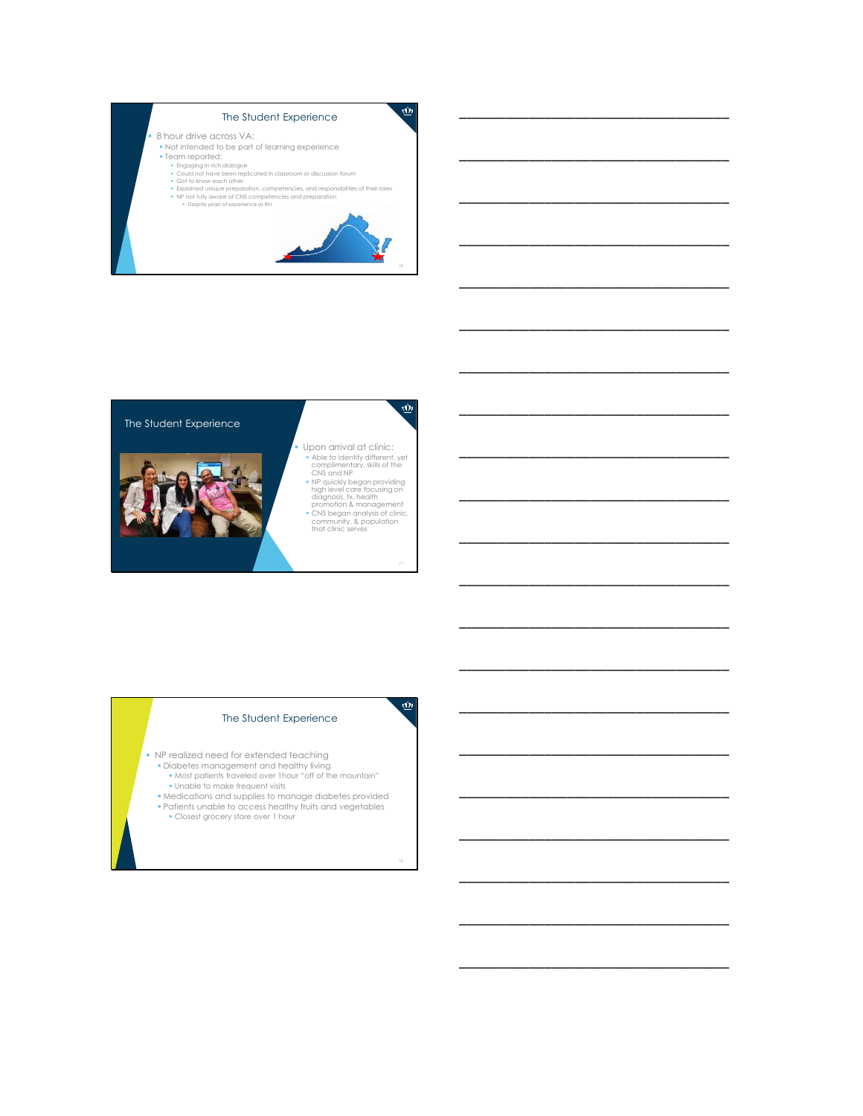

\_\_\_\_\_\_\_\_\_\_\_\_\_\_\_\_\_\_\_\_\_\_\_\_\_\_\_\_\_\_\_\_\_\_\_

\_\_\_\_\_\_\_\_\_\_\_\_\_\_\_\_\_\_\_\_\_\_\_\_\_\_\_\_\_\_\_\_\_\_\_

\_\_\_\_\_\_\_\_\_\_\_\_\_\_\_\_\_\_\_\_\_\_\_\_\_\_\_\_\_\_\_\_\_\_\_

\_\_\_\_\_\_\_\_\_\_\_\_\_\_\_\_\_\_\_\_\_\_\_\_\_\_\_\_\_\_\_\_\_\_\_

\_\_\_\_\_\_\_\_\_\_\_\_\_\_\_\_\_\_\_\_\_\_\_\_\_\_\_\_\_\_\_\_\_\_\_

\_\_\_\_\_\_\_\_\_\_\_\_\_\_\_\_\_\_\_\_\_\_\_\_\_\_\_\_\_\_\_\_\_\_\_

\_\_\_\_\_\_\_\_\_\_\_\_\_\_\_\_\_\_\_\_\_\_\_\_\_\_\_\_\_\_\_\_\_\_\_

\_\_\_\_\_\_\_\_\_\_\_\_\_\_\_\_\_\_\_\_\_\_\_\_\_\_\_\_\_\_\_\_\_\_\_

\_\_\_\_\_\_\_\_\_\_\_\_\_\_\_\_\_\_\_\_\_\_\_\_\_\_\_\_\_\_\_\_\_\_\_

\_\_\_\_\_\_\_\_\_\_\_\_\_\_\_\_\_\_\_\_\_\_\_\_\_\_\_\_\_\_\_\_\_\_\_

\_\_\_\_\_\_\_\_\_\_\_\_\_\_\_\_\_\_\_\_\_\_\_\_\_\_\_\_\_\_\_\_\_\_\_

\_\_\_\_\_\_\_\_\_\_\_\_\_\_\_\_\_\_\_\_\_\_\_\_\_\_\_\_\_\_\_\_\_\_\_

\_\_\_\_\_\_\_\_\_\_\_\_\_\_\_\_\_\_\_\_\_\_\_\_\_\_\_\_\_\_\_\_\_\_\_

\_\_\_\_\_\_\_\_\_\_\_\_\_\_\_\_\_\_\_\_\_\_\_\_\_\_\_\_\_\_\_\_\_\_\_

\_\_\_\_\_\_\_\_\_\_\_\_\_\_\_\_\_\_\_\_\_\_\_\_\_\_\_\_\_\_\_\_\_\_\_

\_\_\_\_\_\_\_\_\_\_\_\_\_\_\_\_\_\_\_\_\_\_\_\_\_\_\_\_\_\_\_\_\_\_\_

\_\_\_\_\_\_\_\_\_\_\_\_\_\_\_\_\_\_\_\_\_\_\_\_\_\_\_\_\_\_\_\_\_\_\_

\_\_\_\_\_\_\_\_\_\_\_\_\_\_\_\_\_\_\_\_\_\_\_\_\_\_\_\_\_\_\_\_\_\_\_

\_\_\_\_\_\_\_\_\_\_\_\_\_\_\_\_\_\_\_\_\_\_\_\_\_\_\_\_\_\_\_\_\_\_\_

\_\_\_\_\_\_\_\_\_\_\_\_\_\_\_\_\_\_\_\_\_\_\_\_\_\_\_\_\_\_\_\_\_\_\_

\_\_\_\_\_\_\_\_\_\_\_\_\_\_\_\_\_\_\_\_\_\_\_\_\_\_\_\_\_\_\_\_\_\_\_



#### The Student Experience

- NP realized need for extended teaching
	- Diabetes management and healthy living Most patients traveled over 1hour "off of the mountain" Unable to make frequent visits
	- Medications and supplies to manage diabetes provided

12

 $\overline{\mathbf{\underline{\omega}}}$ 

Patients unable to access healthy fruits and vegetables Closest grocery store over 1 hour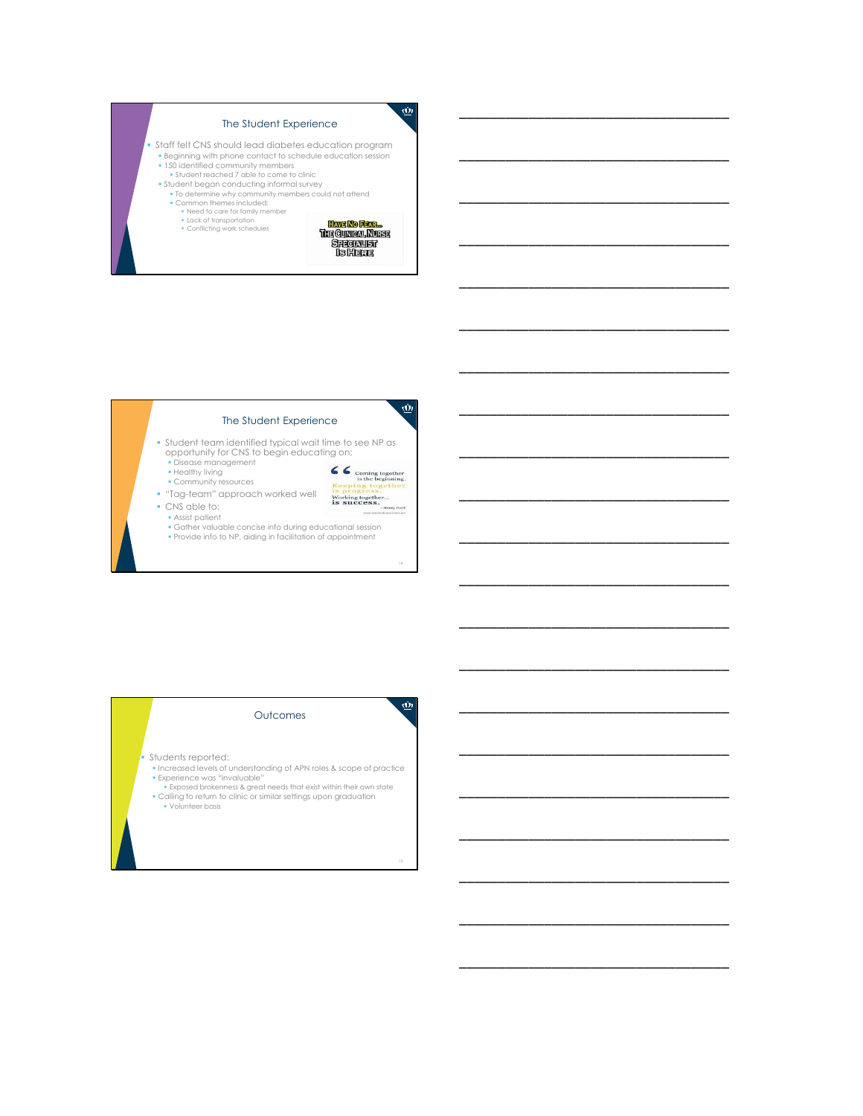# The Student Experience

- Staff felt CNS should lead diabetes education program Beginning with phone contact to schedule education session 150 identified community members Student reached 7 able to come to clinic
	-
	- Student began conducting informal survey To determine why community members could not attend
		- Common themes included: Need to care for family member Lack of transportation Conflicting work schedules
			-
			-



 $\dot{\textbf{w}}$ 

14

 $\overline{\mathbf{\underline{\omega}}}$ 

CC coming together<br>is the beginning.<br>Keeping together<br>is progress. Working together...<br>is success.

 $\underline{\vec{w}}$ 

15

\_\_\_\_\_\_\_\_\_\_\_\_\_\_\_\_\_\_\_\_\_\_\_\_\_\_\_\_\_\_\_\_\_\_\_

\_\_\_\_\_\_\_\_\_\_\_\_\_\_\_\_\_\_\_\_\_\_\_\_\_\_\_\_\_\_\_\_\_\_\_

\_\_\_\_\_\_\_\_\_\_\_\_\_\_\_\_\_\_\_\_\_\_\_\_\_\_\_\_\_\_\_\_\_\_\_

\_\_\_\_\_\_\_\_\_\_\_\_\_\_\_\_\_\_\_\_\_\_\_\_\_\_\_\_\_\_\_\_\_\_\_

\_\_\_\_\_\_\_\_\_\_\_\_\_\_\_\_\_\_\_\_\_\_\_\_\_\_\_\_\_\_\_\_\_\_\_

\_\_\_\_\_\_\_\_\_\_\_\_\_\_\_\_\_\_\_\_\_\_\_\_\_\_\_\_\_\_\_\_\_\_\_

\_\_\_\_\_\_\_\_\_\_\_\_\_\_\_\_\_\_\_\_\_\_\_\_\_\_\_\_\_\_\_\_\_\_\_

\_\_\_\_\_\_\_\_\_\_\_\_\_\_\_\_\_\_\_\_\_\_\_\_\_\_\_\_\_\_\_\_\_\_\_

\_\_\_\_\_\_\_\_\_\_\_\_\_\_\_\_\_\_\_\_\_\_\_\_\_\_\_\_\_\_\_\_\_\_\_

\_\_\_\_\_\_\_\_\_\_\_\_\_\_\_\_\_\_\_\_\_\_\_\_\_\_\_\_\_\_\_\_\_\_\_

\_\_\_\_\_\_\_\_\_\_\_\_\_\_\_\_\_\_\_\_\_\_\_\_\_\_\_\_\_\_\_\_\_\_\_

\_\_\_\_\_\_\_\_\_\_\_\_\_\_\_\_\_\_\_\_\_\_\_\_\_\_\_\_\_\_\_\_\_\_\_

\_\_\_\_\_\_\_\_\_\_\_\_\_\_\_\_\_\_\_\_\_\_\_\_\_\_\_\_\_\_\_\_\_\_\_

\_\_\_\_\_\_\_\_\_\_\_\_\_\_\_\_\_\_\_\_\_\_\_\_\_\_\_\_\_\_\_\_\_\_\_

\_\_\_\_\_\_\_\_\_\_\_\_\_\_\_\_\_\_\_\_\_\_\_\_\_\_\_\_\_\_\_\_\_\_\_

\_\_\_\_\_\_\_\_\_\_\_\_\_\_\_\_\_\_\_\_\_\_\_\_\_\_\_\_\_\_\_\_\_\_\_

\_\_\_\_\_\_\_\_\_\_\_\_\_\_\_\_\_\_\_\_\_\_\_\_\_\_\_\_\_\_\_\_\_\_\_

\_\_\_\_\_\_\_\_\_\_\_\_\_\_\_\_\_\_\_\_\_\_\_\_\_\_\_\_\_\_\_\_\_\_\_

\_\_\_\_\_\_\_\_\_\_\_\_\_\_\_\_\_\_\_\_\_\_\_\_\_\_\_\_\_\_\_\_\_\_\_

\_\_\_\_\_\_\_\_\_\_\_\_\_\_\_\_\_\_\_\_\_\_\_\_\_\_\_\_\_\_\_\_\_\_\_

\_\_\_\_\_\_\_\_\_\_\_\_\_\_\_\_\_\_\_\_\_\_\_\_\_\_\_\_\_\_\_\_\_\_\_

#### The Student Experience

- Student team identified typical wait time to see NP as opportunity for CNS to begin educating on: Disease management
	- Healthy living
	- Community resources
- "Tag-team" approach worked well
- CNS able to:



- 
- Gather valuable concise info during educational session Provide info to NP, aiding in facilitation of appointment
- 

#### **Outcomes**

- Students reported:
- Increased levels of understanding of APN roles & scope of practice
- Experience was "invaluable" Exposed brokenness & great needs that exist within their own state Calling to return to clinic or similar settings upon graduation • Volunteer basis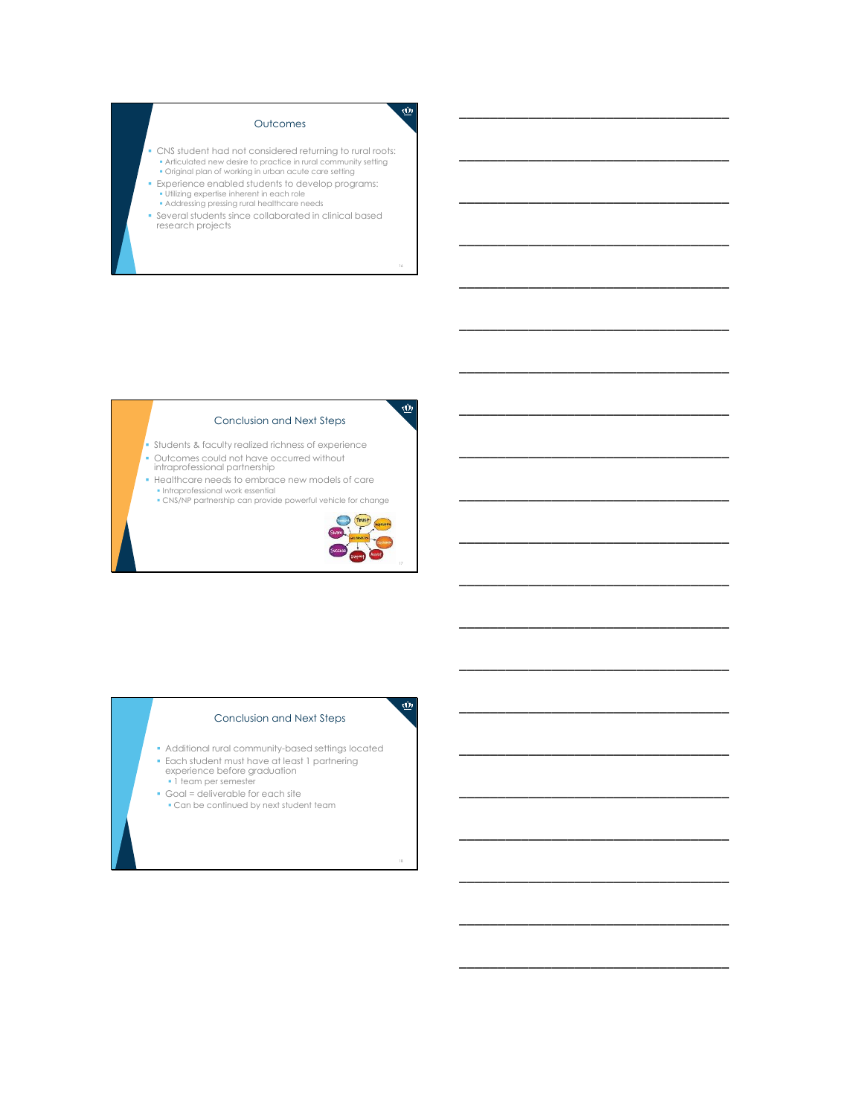# Outcomes

- CNS student had not considered returning to rural roots: Articulated new desire to practice in rural community setting Original plan of working in urban acute care setting
- 
- Experience enabled students to develop programs: Utilizing expertise inherent in each role
- **Addressing pressing rural healthcare needs**
- Several students since collaborated in clinical based research projects

#### Conclusion and Next Steps

- Students & faculty realized richness of experience
- Outcomes could not have occurred without intraprofessional partnership
- Healthcare needs to embrace new models of care
- Intraprofessional work essential CNS/NP partnership can provide powerful vehicle for change



18

 $\overline{\mathbf{\underline{\omega}}}$ 

16

 $\underline{\vec{w}}$ 

 $\dot{\underline{\omega}}$ 

\_\_\_\_\_\_\_\_\_\_\_\_\_\_\_\_\_\_\_\_\_\_\_\_\_\_\_\_\_\_\_\_\_\_\_

\_\_\_\_\_\_\_\_\_\_\_\_\_\_\_\_\_\_\_\_\_\_\_\_\_\_\_\_\_\_\_\_\_\_\_

\_\_\_\_\_\_\_\_\_\_\_\_\_\_\_\_\_\_\_\_\_\_\_\_\_\_\_\_\_\_\_\_\_\_\_

\_\_\_\_\_\_\_\_\_\_\_\_\_\_\_\_\_\_\_\_\_\_\_\_\_\_\_\_\_\_\_\_\_\_\_

\_\_\_\_\_\_\_\_\_\_\_\_\_\_\_\_\_\_\_\_\_\_\_\_\_\_\_\_\_\_\_\_\_\_\_

\_\_\_\_\_\_\_\_\_\_\_\_\_\_\_\_\_\_\_\_\_\_\_\_\_\_\_\_\_\_\_\_\_\_\_

\_\_\_\_\_\_\_\_\_\_\_\_\_\_\_\_\_\_\_\_\_\_\_\_\_\_\_\_\_\_\_\_\_\_\_

\_\_\_\_\_\_\_\_\_\_\_\_\_\_\_\_\_\_\_\_\_\_\_\_\_\_\_\_\_\_\_\_\_\_\_

\_\_\_\_\_\_\_\_\_\_\_\_\_\_\_\_\_\_\_\_\_\_\_\_\_\_\_\_\_\_\_\_\_\_\_

\_\_\_\_\_\_\_\_\_\_\_\_\_\_\_\_\_\_\_\_\_\_\_\_\_\_\_\_\_\_\_\_\_\_\_

\_\_\_\_\_\_\_\_\_\_\_\_\_\_\_\_\_\_\_\_\_\_\_\_\_\_\_\_\_\_\_\_\_\_\_

\_\_\_\_\_\_\_\_\_\_\_\_\_\_\_\_\_\_\_\_\_\_\_\_\_\_\_\_\_\_\_\_\_\_\_

\_\_\_\_\_\_\_\_\_\_\_\_\_\_\_\_\_\_\_\_\_\_\_\_\_\_\_\_\_\_\_\_\_\_\_

\_\_\_\_\_\_\_\_\_\_\_\_\_\_\_\_\_\_\_\_\_\_\_\_\_\_\_\_\_\_\_\_\_\_\_

\_\_\_\_\_\_\_\_\_\_\_\_\_\_\_\_\_\_\_\_\_\_\_\_\_\_\_\_\_\_\_\_\_\_\_

\_\_\_\_\_\_\_\_\_\_\_\_\_\_\_\_\_\_\_\_\_\_\_\_\_\_\_\_\_\_\_\_\_\_\_

\_\_\_\_\_\_\_\_\_\_\_\_\_\_\_\_\_\_\_\_\_\_\_\_\_\_\_\_\_\_\_\_\_\_\_

\_\_\_\_\_\_\_\_\_\_\_\_\_\_\_\_\_\_\_\_\_\_\_\_\_\_\_\_\_\_\_\_\_\_\_

\_\_\_\_\_\_\_\_\_\_\_\_\_\_\_\_\_\_\_\_\_\_\_\_\_\_\_\_\_\_\_\_\_\_\_

\_\_\_\_\_\_\_\_\_\_\_\_\_\_\_\_\_\_\_\_\_\_\_\_\_\_\_\_\_\_\_\_\_\_\_

\_\_\_\_\_\_\_\_\_\_\_\_\_\_\_\_\_\_\_\_\_\_\_\_\_\_\_\_\_\_\_\_\_\_\_

#### Conclusion and Next Steps

- Additional rural community-based settings located
- Each student must have at least 1 partnering experience before graduation 1 team per semester
- 
- Goal = deliverable for each site Can be continued by next student team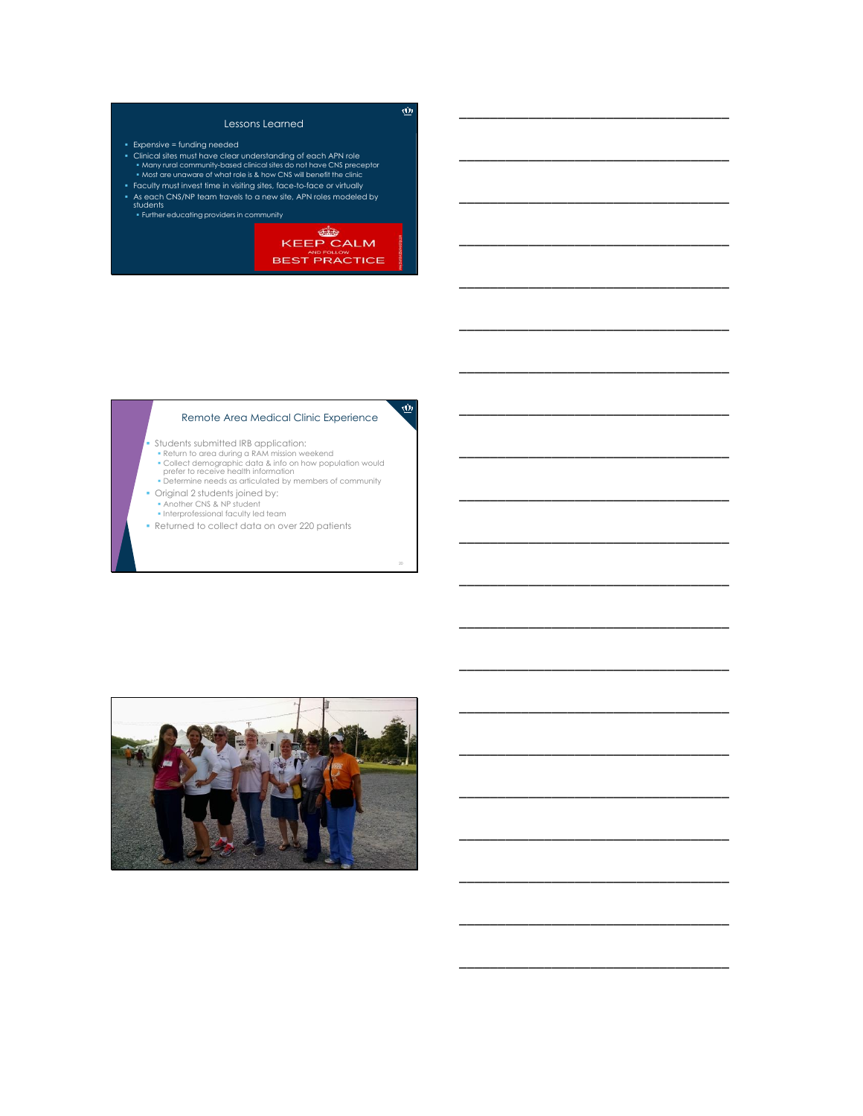# Lessons Learned

- Expensive = funding needed
- Clinical sites must have clear understanding of each APN role Many rural community-based clinical sites do not have CNS preceptor Most are unaware of what role is & how CNS will benefit the clinic
- Faculty must invest time in visiting sites, face-to-face or virtually As each CNS/NP team travels to a new site, APN roles modeled by students Further educating providers in community



20

 $\dot{\underline{\omega}}$ 

 $\dot{\textbf{w}}$ 

\_\_\_\_\_\_\_\_\_\_\_\_\_\_\_\_\_\_\_\_\_\_\_\_\_\_\_\_\_\_\_\_\_\_\_

\_\_\_\_\_\_\_\_\_\_\_\_\_\_\_\_\_\_\_\_\_\_\_\_\_\_\_\_\_\_\_\_\_\_\_

\_\_\_\_\_\_\_\_\_\_\_\_\_\_\_\_\_\_\_\_\_\_\_\_\_\_\_\_\_\_\_\_\_\_\_

\_\_\_\_\_\_\_\_\_\_\_\_\_\_\_\_\_\_\_\_\_\_\_\_\_\_\_\_\_\_\_\_\_\_\_

\_\_\_\_\_\_\_\_\_\_\_\_\_\_\_\_\_\_\_\_\_\_\_\_\_\_\_\_\_\_\_\_\_\_\_

\_\_\_\_\_\_\_\_\_\_\_\_\_\_\_\_\_\_\_\_\_\_\_\_\_\_\_\_\_\_\_\_\_\_\_

\_\_\_\_\_\_\_\_\_\_\_\_\_\_\_\_\_\_\_\_\_\_\_\_\_\_\_\_\_\_\_\_\_\_\_

\_\_\_\_\_\_\_\_\_\_\_\_\_\_\_\_\_\_\_\_\_\_\_\_\_\_\_\_\_\_\_\_\_\_\_

\_\_\_\_\_\_\_\_\_\_\_\_\_\_\_\_\_\_\_\_\_\_\_\_\_\_\_\_\_\_\_\_\_\_\_

\_\_\_\_\_\_\_\_\_\_\_\_\_\_\_\_\_\_\_\_\_\_\_\_\_\_\_\_\_\_\_\_\_\_\_

\_\_\_\_\_\_\_\_\_\_\_\_\_\_\_\_\_\_\_\_\_\_\_\_\_\_\_\_\_\_\_\_\_\_\_

\_\_\_\_\_\_\_\_\_\_\_\_\_\_\_\_\_\_\_\_\_\_\_\_\_\_\_\_\_\_\_\_\_\_\_

\_\_\_\_\_\_\_\_\_\_\_\_\_\_\_\_\_\_\_\_\_\_\_\_\_\_\_\_\_\_\_\_\_\_\_

\_\_\_\_\_\_\_\_\_\_\_\_\_\_\_\_\_\_\_\_\_\_\_\_\_\_\_\_\_\_\_\_\_\_\_

\_\_\_\_\_\_\_\_\_\_\_\_\_\_\_\_\_\_\_\_\_\_\_\_\_\_\_\_\_\_\_\_\_\_\_

\_\_\_\_\_\_\_\_\_\_\_\_\_\_\_\_\_\_\_\_\_\_\_\_\_\_\_\_\_\_\_\_\_\_\_

\_\_\_\_\_\_\_\_\_\_\_\_\_\_\_\_\_\_\_\_\_\_\_\_\_\_\_\_\_\_\_\_\_\_\_

\_\_\_\_\_\_\_\_\_\_\_\_\_\_\_\_\_\_\_\_\_\_\_\_\_\_\_\_\_\_\_\_\_\_\_

\_\_\_\_\_\_\_\_\_\_\_\_\_\_\_\_\_\_\_\_\_\_\_\_\_\_\_\_\_\_\_\_\_\_\_

\_\_\_\_\_\_\_\_\_\_\_\_\_\_\_\_\_\_\_\_\_\_\_\_\_\_\_\_\_\_\_\_\_\_\_

\_\_\_\_\_\_\_\_\_\_\_\_\_\_\_\_\_\_\_\_\_\_\_\_\_\_\_\_\_\_\_\_\_\_\_

# Remote Area Medical Clinic Experience

Students submitted IRB application:

- Return to area during a RAM mission weekend
- 
- $\bullet$  Collect demographic data & info on how population would<br>| prefer to receive health information<br>|• Determine needs as articulated by members of community
- Original 2 students joined by:
- Another CNS & NP student Interprofessional faculty led team
- 
- Returned to collect data on over 220 patients

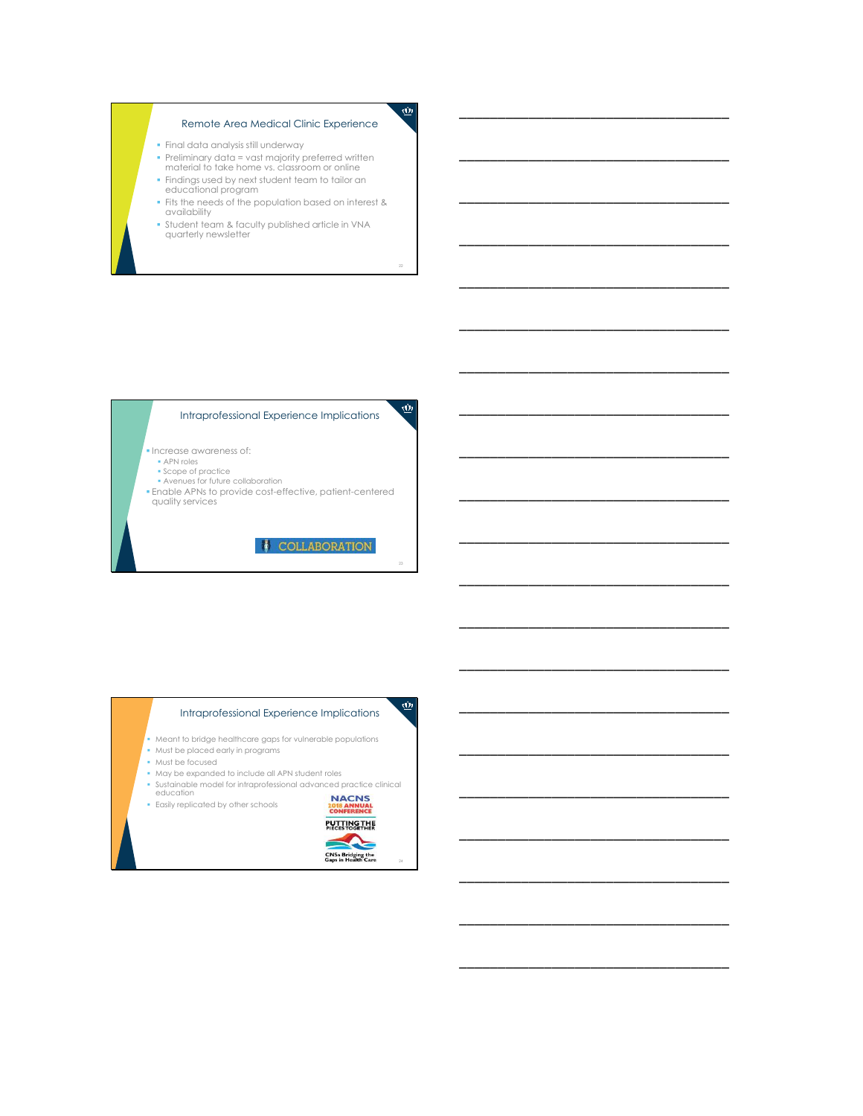# Remote Area Medical Clinic Experience

- Final data analysis still underway
- Preliminary data = vast majority preferred written material to take home vs. classroom or online
- Findings used by next student team to tailor an educational program
- **Fits the needs of the population based on interest & availability**
- Student team & faculty published article in VNA quarterly newsletter

22

 $\underline{\vec{w}}$ 

 $\dot{\textbf{w}}$ 

23

 $\dot{\underline{\omega}}$ 

\_\_\_\_\_\_\_\_\_\_\_\_\_\_\_\_\_\_\_\_\_\_\_\_\_\_\_\_\_\_\_\_\_\_\_

\_\_\_\_\_\_\_\_\_\_\_\_\_\_\_\_\_\_\_\_\_\_\_\_\_\_\_\_\_\_\_\_\_\_\_

\_\_\_\_\_\_\_\_\_\_\_\_\_\_\_\_\_\_\_\_\_\_\_\_\_\_\_\_\_\_\_\_\_\_\_

\_\_\_\_\_\_\_\_\_\_\_\_\_\_\_\_\_\_\_\_\_\_\_\_\_\_\_\_\_\_\_\_\_\_\_

\_\_\_\_\_\_\_\_\_\_\_\_\_\_\_\_\_\_\_\_\_\_\_\_\_\_\_\_\_\_\_\_\_\_\_

\_\_\_\_\_\_\_\_\_\_\_\_\_\_\_\_\_\_\_\_\_\_\_\_\_\_\_\_\_\_\_\_\_\_\_

\_\_\_\_\_\_\_\_\_\_\_\_\_\_\_\_\_\_\_\_\_\_\_\_\_\_\_\_\_\_\_\_\_\_\_

\_\_\_\_\_\_\_\_\_\_\_\_\_\_\_\_\_\_\_\_\_\_\_\_\_\_\_\_\_\_\_\_\_\_\_

\_\_\_\_\_\_\_\_\_\_\_\_\_\_\_\_\_\_\_\_\_\_\_\_\_\_\_\_\_\_\_\_\_\_\_

\_\_\_\_\_\_\_\_\_\_\_\_\_\_\_\_\_\_\_\_\_\_\_\_\_\_\_\_\_\_\_\_\_\_\_

\_\_\_\_\_\_\_\_\_\_\_\_\_\_\_\_\_\_\_\_\_\_\_\_\_\_\_\_\_\_\_\_\_\_\_

\_\_\_\_\_\_\_\_\_\_\_\_\_\_\_\_\_\_\_\_\_\_\_\_\_\_\_\_\_\_\_\_\_\_\_

\_\_\_\_\_\_\_\_\_\_\_\_\_\_\_\_\_\_\_\_\_\_\_\_\_\_\_\_\_\_\_\_\_\_\_

\_\_\_\_\_\_\_\_\_\_\_\_\_\_\_\_\_\_\_\_\_\_\_\_\_\_\_\_\_\_\_\_\_\_\_

\_\_\_\_\_\_\_\_\_\_\_\_\_\_\_\_\_\_\_\_\_\_\_\_\_\_\_\_\_\_\_\_\_\_\_

\_\_\_\_\_\_\_\_\_\_\_\_\_\_\_\_\_\_\_\_\_\_\_\_\_\_\_\_\_\_\_\_\_\_\_

\_\_\_\_\_\_\_\_\_\_\_\_\_\_\_\_\_\_\_\_\_\_\_\_\_\_\_\_\_\_\_\_\_\_\_

\_\_\_\_\_\_\_\_\_\_\_\_\_\_\_\_\_\_\_\_\_\_\_\_\_\_\_\_\_\_\_\_\_\_\_

\_\_\_\_\_\_\_\_\_\_\_\_\_\_\_\_\_\_\_\_\_\_\_\_\_\_\_\_\_\_\_\_\_\_\_

\_\_\_\_\_\_\_\_\_\_\_\_\_\_\_\_\_\_\_\_\_\_\_\_\_\_\_\_\_\_\_\_\_\_\_

\_\_\_\_\_\_\_\_\_\_\_\_\_\_\_\_\_\_\_\_\_\_\_\_\_\_\_\_\_\_\_\_\_\_\_

### Intraprofessional Experience Implications

- **Increase awareness of:** APN roles
- 
- Scope of practice Avenues for future collaboration
- Enable APNs to provide cost-effective, patient-centered quality services

COLLABORATION

# Intraprofessional Experience Implications

- Meant to bridge healthcare gaps for vulnerable populations
- Must be placed early in programs
- Must be focused
- May be expanded to include all APN student roles
- Sustainable model for intraprofessional advanced practice clinical<br>education<br>Fasily replicated by other schools<br>CONFERENCE
- Easily replicated by other schools



24